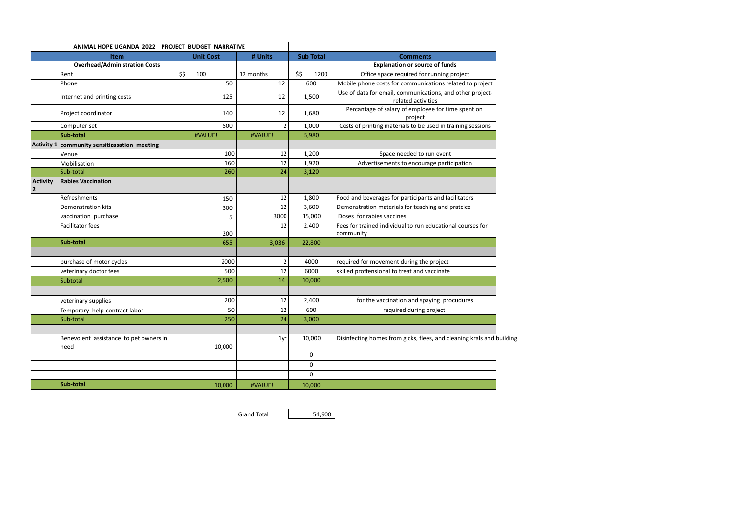|                              | ANIMAL HOPE UGANDA 2022 PROJECT BUDGET NARRATIVE |                  |                |                  |                                                                                 |
|------------------------------|--------------------------------------------------|------------------|----------------|------------------|---------------------------------------------------------------------------------|
|                              | <b>Item</b>                                      | <b>Unit Cost</b> | # Units        | <b>Sub Total</b> | <b>Comments</b>                                                                 |
|                              | <b>Overhead/Administration Costs</b>             |                  |                |                  | <b>Explanation or source of funds</b>                                           |
|                              | Rent                                             | \$\$<br>100      | 12 months      | \$\$<br>1200     | Office space required for running project                                       |
|                              | Phone                                            | 50               | 12             | 600              | Mobile phone costs for communications related to project                        |
|                              | Internet and printing costs                      | 125              | 12             | 1,500            | Use of data for email, communications, and other project-<br>related activities |
|                              | Project coordinator                              | 140              | 12             | 1,680            | Percantage of salary of employee for time spent on<br>project                   |
|                              | Computer set                                     | 500              | $\overline{2}$ | 1,000            | Costs of printing materials to be used in training sessions                     |
|                              | Sub-total                                        | #VALUE!          | #VALUE!        | 5,980            |                                                                                 |
| Activity 1                   | community sensitizasation meeting                |                  |                |                  |                                                                                 |
|                              | Venue                                            | 100              | 12             | 1,200            | Space needed to run event                                                       |
|                              | Mobilisation                                     | 160              | 12             | 1,920            | Advertisements to encourage participation                                       |
|                              | Sub-total                                        | 260              | 24             | 3,120            |                                                                                 |
| <b>Activity</b><br>$\vert$ 2 | <b>Rabies Vaccination</b>                        |                  |                |                  |                                                                                 |
|                              | Refreshments                                     | 150              | 12             | 1,800            | Food and beverages for participants and facilitators                            |
|                              | Demonstration kits                               | 300              | 12             | 3,600            | Demonstration materials for teaching and pratcice                               |
|                              | vaccination purchase                             | 5                | 3000           | 15,000           | Doses for rabies vaccines                                                       |
|                              | Facilitator fees                                 | 200              | 12             | 2,400            | Fees for trained individual to run educational courses for<br>community         |
|                              | Sub-total                                        | 655              | 3,036          | 22,800           |                                                                                 |
|                              | purchase of motor cycles                         | 2000             | $\overline{2}$ | 4000             | required for movement during the project                                        |
|                              | veterinary doctor fees                           | 500              | 12             | 6000             | skilled proffensional to treat and vaccinate                                    |
|                              | Subtotal                                         | 2,500            | 14             | 10,000           |                                                                                 |
|                              | veterinary supplies                              | 200              | 12             | 2,400            | for the vaccination and spaying procudures                                      |
|                              | Temporary help-contract labor                    | 50               | 12             | 600              | required during project                                                         |
|                              | Sub-total                                        | 250              | 24             | 3,000            |                                                                                 |
|                              | Benevolent assistance to pet owners in<br>need   | 10,000           | 1yr            | 10,000           | Disinfecting homes from gicks, flees, and cleaning krals and building           |
|                              |                                                  |                  |                | $\mathbf 0$      |                                                                                 |
|                              |                                                  |                  |                | $\pmb{0}$        |                                                                                 |
|                              |                                                  |                  |                | $\mathbf 0$      |                                                                                 |
|                              | Sub-total                                        | 10,000           | #VALUE!        | 10,000           |                                                                                 |

Grand Total 54,900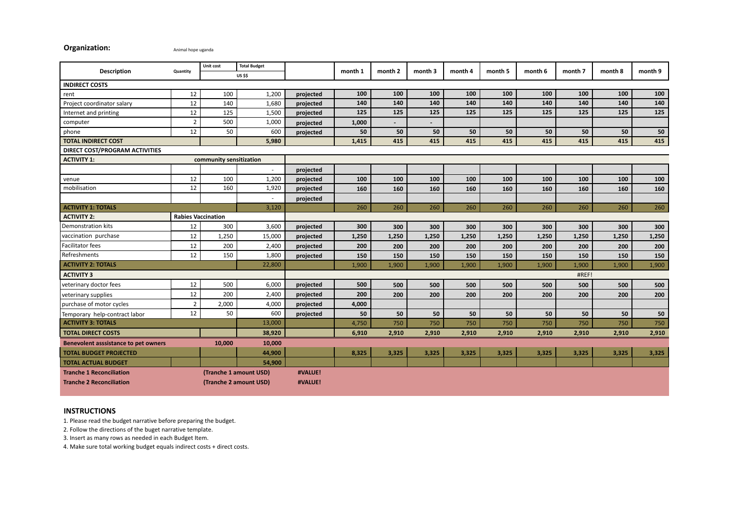## **Organization: Animal hope uganda**

|                                                                 |                           | Unit cost               | <b>Total Budget</b>    |           |         |         |                          |         |         |         |         |         |            |
|-----------------------------------------------------------------|---------------------------|-------------------------|------------------------|-----------|---------|---------|--------------------------|---------|---------|---------|---------|---------|------------|
| <b>Description</b>                                              | Quantity                  |                         | <b>US \$\$</b>         |           | month 1 | month 2 | month 3                  | month 4 | month 5 | month 6 | month 7 | month 8 | month 9    |
| <b>INDIRECT COSTS</b>                                           |                           |                         |                        |           |         |         |                          |         |         |         |         |         |            |
| rent                                                            | 12                        | 100                     | 1,200                  | projected | 100     | 100     | 100                      | 100     | 100     | 100     | 100     | 100     | 100        |
| Project coordinator salary                                      | 12                        | 140                     | 1,680                  | projected | 140     | 140     | 140                      | 140     | 140     | 140     | 140     | 140     | 140        |
| Internet and printing                                           | 12                        | 125                     | 1,500                  | projected | 125     | 125     | 125                      | 125     | 125     | 125     | 125     | 125     | 125        |
| computer                                                        | $\overline{2}$            | 500                     | 1,000                  | projected | 1,000   |         | $\overline{\phantom{a}}$ |         |         |         |         |         |            |
| phone                                                           | 12                        | 50                      | 600                    | projected | 50      | 50      | 50                       | 50      | 50      | 50      | 50      | 50      | 50         |
| <b>TOTAL INDIRECT COST</b>                                      |                           |                         | 5,980                  |           | 1,415   | 415     | 415                      | 415     | 415     | 415     | 415     | 415     | 415        |
| <b>DIRECT COST/PROGRAM ACTIVITIES</b>                           |                           |                         |                        |           |         |         |                          |         |         |         |         |         |            |
| <b>ACTIVITY 1:</b>                                              |                           | community sensitization |                        |           |         |         |                          |         |         |         |         |         |            |
|                                                                 |                           |                         | $\sim$                 | projected |         |         |                          |         |         |         |         |         |            |
| venue                                                           | 12                        | 100                     | 1,200                  | projected | 100     | 100     | 100                      | 100     | 100     | 100     | 100     | 100     | <b>100</b> |
| mobilisation                                                    | 12                        | 160                     | 1,920                  | projected | 160     | 160     | 160                      | 160     | 160     | 160     | 160     | 160     | 160        |
|                                                                 |                           |                         | $\sim$                 | projected |         |         |                          |         |         |         |         |         |            |
| <b>ACTIVITY 1: TOTALS</b>                                       | 3,120                     |                         |                        |           | 260     | 260     | 260                      | 260     | 260     | 260     | 260     | 260     | 260        |
| <b>ACTIVITY 2:</b>                                              | <b>Rabies Vaccination</b> |                         |                        |           |         |         |                          |         |         |         |         |         |            |
| Demonstration kits                                              | 12                        | 300                     | 3,600                  | projected | 300     | 300     | 300                      | 300     | 300     | 300     | 300     | 300     | 300        |
| vaccination purchase                                            | 12                        | 1,250                   | 15,000                 | projected | 1,250   | 1,250   | 1,250                    | 1,250   | 1,250   | 1,250   | 1,250   | 1,250   | 1,250      |
| Facilitator fees                                                | 12                        | 200                     | 2,400                  | projected | 200     | 200     | 200                      | 200     | 200     | 200     | 200     | 200     | 200        |
| Refreshments                                                    | 12                        | 150                     | 1,800                  | projected | 150     | 150     | 150                      | 150     | 150     | 150     | 150     | 150     | 150        |
| <b>ACTIVITY 2: TOTALS</b><br>22,800                             |                           |                         | 1,900                  | 1,900     | 1,900   | 1,900   | 1,900                    | 1,900   | 1,900   | 1,900   | 1,900   |         |            |
| <b>ACTIVITY 3</b>                                               |                           |                         | #REF!                  |           |         |         |                          |         |         |         |         |         |            |
| veterinary doctor fees                                          | 12                        | 500                     | 6,000                  | projected | 500     | 500     | 500                      | 500     | 500     | 500     | 500     | 500     | 500        |
| veterinary supplies                                             | 12                        | 200                     | 2,400                  | projected | 200     | 200     | 200                      | 200     | 200     | 200     | 200     | 200     | 200        |
| purchase of motor cycles                                        | $\overline{2}$            | 2,000                   | 4,000                  | projected | 4,000   |         |                          |         |         |         |         |         |            |
| Temporary help-contract labor                                   | 12                        | 50                      | 600                    | projected | 50      | 50      | 50                       | 50      | 50      | 50      | 50      | 50      | 50         |
| <b>ACTIVITY 3: TOTALS</b>                                       |                           |                         | 13,000                 |           | 4,750   | 750     | 750                      | 750     | 750     | 750     | 750     | 750     | 750        |
| <b>TOTAL DIRECT COSTS</b>                                       |                           |                         | 38,920                 |           | 6,910   | 2,910   | 2,910                    | 2,910   | 2,910   | 2,910   | 2,910   | 2,910   | 2,910      |
| 10,000<br><b>Benevolent asssistance to pet owners</b><br>10,000 |                           |                         |                        |           |         |         |                          |         |         |         |         |         |            |
| 44,900<br><b>TOTAL BUDGET PROJECTED</b>                         |                           |                         | 8,325                  | 3,325     | 3,325   | 3,325   | 3,325                    | 3,325   | 3,325   | 3,325   | 3,325   |         |            |
| <b>TOTAL ACTUAL BUDGET</b>                                      |                           |                         | 54,900                 |           |         |         |                          |         |         |         |         |         |            |
| <b>Tranche 1 Reconciliation</b>                                 |                           |                         | (Tranche 1 amount USD) | #VALUE!   |         |         |                          |         |         |         |         |         |            |
| <b>Tranche 2 Reconciliation</b><br>(Tranche 2 amount USD)       |                           |                         | #VALUE!                |           |         |         |                          |         |         |         |         |         |            |
|                                                                 |                           |                         |                        |           |         |         |                          |         |         |         |         |         |            |

## **INSTRUCTIONS**

1. Please read the budget narrative before preparing the budget.

2. Follow the directions of the buget narrative template.

3. Insert as many rows as needed in each Budget Item.

4. Make sure total working budget equals indirect costs + direct costs.